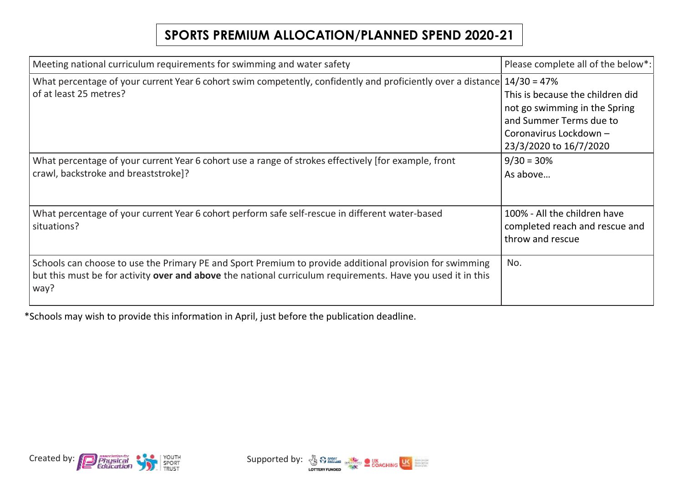## **SPORTS PREMIUM ALLOCATION/PLANNED SPEND 2020-21**

| Meeting national curriculum requirements for swimming and water safety                                                                                                                                                         | Please complete all of the below*:                                                                                                               |
|--------------------------------------------------------------------------------------------------------------------------------------------------------------------------------------------------------------------------------|--------------------------------------------------------------------------------------------------------------------------------------------------|
| What percentage of your current Year 6 cohort swim competently, confidently and proficiently over a distance 14/30 = 47%<br>of at least 25 metres?                                                                             | This is because the children did<br>not go swimming in the Spring<br>and Summer Terms due to<br>Coronavirus Lockdown -<br>23/3/2020 to 16/7/2020 |
| What percentage of your current Year 6 cohort use a range of strokes effectively [for example, front<br>crawl, backstroke and breaststroke]?                                                                                   | $9/30 = 30%$<br>As above                                                                                                                         |
| What percentage of your current Year 6 cohort perform safe self-rescue in different water-based<br>situations?                                                                                                                 | 100% - All the children have<br>completed reach and rescue and<br>throw and rescue                                                               |
| Schools can choose to use the Primary PE and Sport Premium to provide additional provision for swimming<br>but this must be for activity over and above the national curriculum requirements. Have you used it in this<br>way? | No.                                                                                                                                              |

\*Schools may wish to provide this information in April, just before the publication deadline.



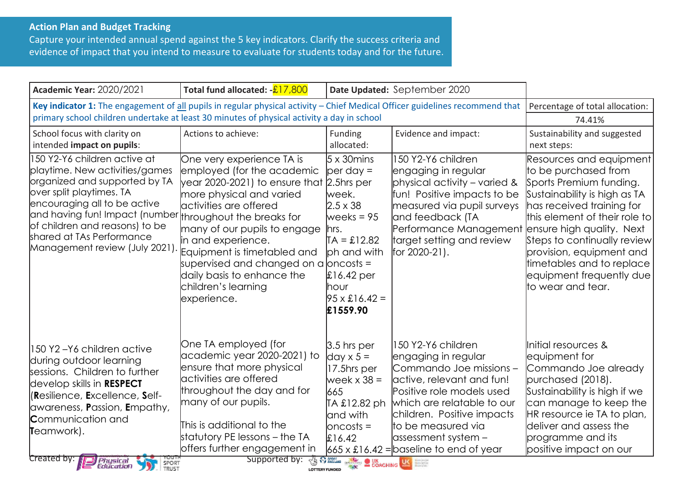## **Action Plan and Budget Tracking**

Capture your intended annual spend against the 5 key indicators. Clarify the success criteria and evidence of impact that you intend to measure to evaluate for students today and for the future.

| <b>Academic Year: 2020/2021</b>                                                                                                                                                                                                                                                                                          | Total fund allocated: $-\frac{1}{2}$ 17,800                                                                                                                                                                                                                                                                                                                              |                                                                                                                                                                                                            | Date Updated: September 2020                                                                                                                                                                                                                                                               |                                                                                                                                                                                                                                                                                                                   |
|--------------------------------------------------------------------------------------------------------------------------------------------------------------------------------------------------------------------------------------------------------------------------------------------------------------------------|--------------------------------------------------------------------------------------------------------------------------------------------------------------------------------------------------------------------------------------------------------------------------------------------------------------------------------------------------------------------------|------------------------------------------------------------------------------------------------------------------------------------------------------------------------------------------------------------|--------------------------------------------------------------------------------------------------------------------------------------------------------------------------------------------------------------------------------------------------------------------------------------------|-------------------------------------------------------------------------------------------------------------------------------------------------------------------------------------------------------------------------------------------------------------------------------------------------------------------|
| Key indicator 1: The engagement of all pupils in regular physical activity - Chief Medical Officer guidelines recommend that                                                                                                                                                                                             | Percentage of total allocation:                                                                                                                                                                                                                                                                                                                                          |                                                                                                                                                                                                            |                                                                                                                                                                                                                                                                                            |                                                                                                                                                                                                                                                                                                                   |
| primary school children undertake at least 30 minutes of physical activity a day in school                                                                                                                                                                                                                               | 74.41%                                                                                                                                                                                                                                                                                                                                                                   |                                                                                                                                                                                                            |                                                                                                                                                                                                                                                                                            |                                                                                                                                                                                                                                                                                                                   |
| School focus with clarity on<br>intended impact on pupils:                                                                                                                                                                                                                                                               | Actions to achieve:                                                                                                                                                                                                                                                                                                                                                      | Funding<br>allocated:                                                                                                                                                                                      | Evidence and impact:                                                                                                                                                                                                                                                                       | Sustainability and suggested<br>next steps:                                                                                                                                                                                                                                                                       |
| 150 Y2-Y6 children active at<br>playtime. New activities/games<br>organized and supported by TA<br>over split playtimes. TA<br>encouraging all to be active<br>and having fun! Impact (number throughout the breaks for<br>of children and reasons) to be<br>shared at TAs Performance<br>Management review (July 2021). | One very experience TA is<br>employed (for the academic<br>year 2020-2021) to ensure that<br>more physical and varied<br>lactivities are offered<br>many of our pupils to engage<br>in and experience.<br>Equipment is timetabled and<br>supervised and changed on a $\overline{\text{p}}$ oncosts =<br>daily basis to enhance the<br>children's learning<br>experience. | $5 \times 30$ mins<br>$per day =$<br>$2.5$ hrs per<br>week.<br>$2.5 \times 38$<br>weeks = $95$<br>lhrs.<br>$TA = £12.82$<br><b>ph</b> and with<br>$$16.42$ per<br>lhour<br>$95 \times 16.42 =$<br>£1559.90 | 150 Y2-Y6 children<br>engaging in regular<br>physical activity – varied $\&$<br>fun! Positive impacts to be<br>measured via pupil surveys<br>and feedback (TA<br>Performance Management ensure high quality. Next<br>target setting and review<br>for 2020-21).                            | Resources and equipment<br>to be purchased from<br>Sports Premium funding.<br>Sustainability is high as TA<br>has received training for<br>this element of their role to<br>Steps to continually review<br>provision, equipment and<br>timetables and to replace<br>equipment frequently due<br>to wear and tear. |
| 150 Y2 –Y6 children active<br>during outdoor learning<br>sessions. Children to further<br>develop skills in <b>RESPECT</b><br>(Resilience, Excellence, Self-<br>awareness, Passion, Empathy,<br><b>Communication and</b><br><b>T</b> eamwork).                                                                           | One TA employed (for<br>academic year 2020-2021) to<br>ensure that more physical<br>activities are offered<br>throughout the day and for<br>many of our pupils.<br>līhis is additional to the<br>statutory PE lessons – the TA<br>offers further engagement in                                                                                                           | $3.5$ hrs per<br>$\frac{1}{2}$ day x 5 =<br>17.5hrs per<br>week x 38 =<br>665<br>TA £12.82 ph<br>land with<br>$l$ oncosts =<br>\$16.42                                                                     | 150 Y2-Y6 children<br>engaging in regular<br>Commando Joe missions -<br>active, relevant and fun!<br>Positive role models used<br>which are relatable to our<br>children. Positive impacts<br>lto be measured via<br> assessment system –<br>$665 \times £16.42$ = baseline to end of year | Initial resources &<br>equipment for<br>Commando Joe already<br>purchased (2018).<br>Sustainability is high if we<br>can manage to keep the<br>HR resource ie TA to plan,<br>deliver and assess the<br>programme and its<br>positive impact on our                                                                |
| Supported by:<br>created by:<br><b>GO STATE OF SCOLE AND STATE OF STATE OF STATE OF STATE OF STATE OF STATE OF STATE OF STATE OF STATE OF STATE</b><br>Physical<br>Education<br><b>SPORT</b><br>TRUST<br><b>LOTTERY FUNDED</b>                                                                                           |                                                                                                                                                                                                                                                                                                                                                                          |                                                                                                                                                                                                            |                                                                                                                                                                                                                                                                                            |                                                                                                                                                                                                                                                                                                                   |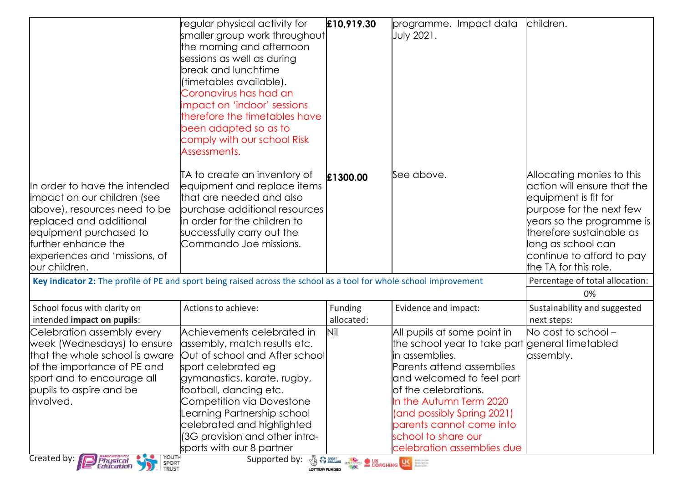|                                                                                                                                                                                                                                                               | regular physical activity for<br>smaller group work throughout<br>the morning and afternoon<br>sessions as well as during<br>break and lunchtime<br>(timetables available).<br>Coronavirus has had an<br>impact on 'indoor' sessions<br>therefore the timetables have<br>been adapted so as to<br>comply with our school Risk<br>Assessments.                              | £10,919.30            | programme. Impact data<br>July 2021.                                                                                                                                                                                                                                                                                                  | children.                                                                                                                                                                                                                                         |
|---------------------------------------------------------------------------------------------------------------------------------------------------------------------------------------------------------------------------------------------------------------|----------------------------------------------------------------------------------------------------------------------------------------------------------------------------------------------------------------------------------------------------------------------------------------------------------------------------------------------------------------------------|-----------------------|---------------------------------------------------------------------------------------------------------------------------------------------------------------------------------------------------------------------------------------------------------------------------------------------------------------------------------------|---------------------------------------------------------------------------------------------------------------------------------------------------------------------------------------------------------------------------------------------------|
| <b>I</b> n order to have the intended<br>impact on our children (see<br>above), resources need to be<br>replaced and additional<br>equipment purchased to<br>further enhance the<br>experiences and 'missions, of<br>our children.                            | TA to create an inventory of<br>equipment and replace items<br>that are needed and also<br>purchase additional resources<br><b>i</b> n order for the children to<br>successfully carry out the<br>Commando Joe missions.                                                                                                                                                   | £1300.00              | See above.                                                                                                                                                                                                                                                                                                                            | Allocating monies to this<br>action will ensure that the<br>equipment is fit for<br>purpose for the next few<br>years so the programme is<br>therefore sustainable as<br>long as school can<br>continue to afford to pay<br>the TA for this role. |
| Key indicator 2: The profile of PE and sport being raised across the school as a tool for whole school improvement                                                                                                                                            |                                                                                                                                                                                                                                                                                                                                                                            |                       |                                                                                                                                                                                                                                                                                                                                       | Percentage of total allocation:<br>0%                                                                                                                                                                                                             |
| School focus with clarity on<br>intended impact on pupils:                                                                                                                                                                                                    | Actions to achieve:                                                                                                                                                                                                                                                                                                                                                        | Funding<br>allocated: | Evidence and impact:                                                                                                                                                                                                                                                                                                                  | Sustainability and suggested<br>next steps:                                                                                                                                                                                                       |
| Celebration assembly every<br>week (Wednesdays) to ensure<br>that the whole school is aware<br>of the importance of PE and<br>sport and to encourage all<br>pupils to aspire and be<br>involved.<br>YOUTH<br>Created by:<br><b>Physical</b><br>SPORT<br>TRUST | Achievements celebrated in<br>assembly, match results etc.<br>Out of school and After school<br>sport celebrated eg<br>gymanastics, karate, rugby,<br>football, dancing etc.<br>Competition via Dovestone<br>Learning Partnership school<br>celebrated and highlighted<br>(3G provision and other intra-<br>sports with our 8 partner<br>Supported by: 30 MML SURACHING US | Nil                   | All pupils at some point in<br>the school year to take part general timetabled<br><b>l</b> in assemblies.<br>Parents attend assemblies<br>and welcomed to feel part<br>of the celebrations.<br>In the Autumn Term 2020<br>(and possibly Spring 2021)<br>parents cannot come into<br>school to share our<br>celebration assemblies due | No cost to school -<br>assembly.                                                                                                                                                                                                                  |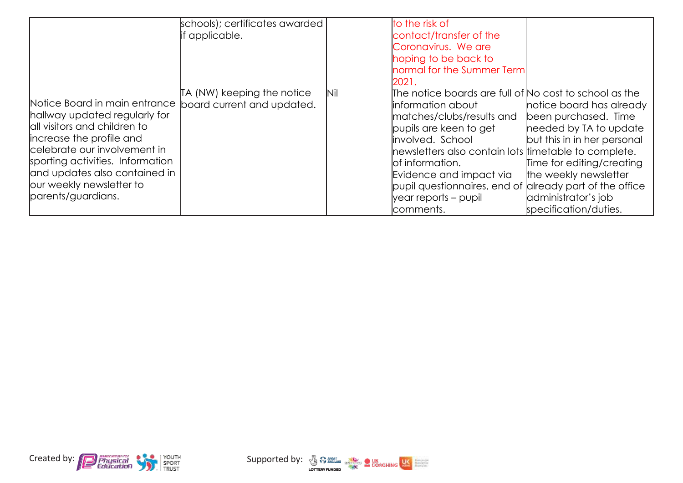|                                                          | schools); certificates awarded    |     | to the risk of                                          |                             |
|----------------------------------------------------------|-----------------------------------|-----|---------------------------------------------------------|-----------------------------|
|                                                          | f applicable.                     |     | contact/transfer of the                                 |                             |
|                                                          |                                   |     | Coronavirus. We are                                     |                             |
|                                                          |                                   |     | hoping to be back to                                    |                             |
|                                                          |                                   |     | normal for the Summer Term                              |                             |
|                                                          |                                   |     | 2021.                                                   |                             |
|                                                          | <b>TA (NW) keeping the notice</b> | Nil | The notice boards are full of No cost to school as the  |                             |
| Notice Board in main entrance board current and updated. |                                   |     | linformation about                                      | notice board has already    |
| hallway updated regularly for                            |                                   |     | matches/clubs/results and                               | been purchased. Time        |
| all visitors and children to                             |                                   |     | pupils are keen to get                                  | needed by TA to update      |
| increase the profile and                                 |                                   |     | involved. School                                        | but this in in her personal |
| celebrate our involvement in                             |                                   |     | newsletters also contain lots timetable to complete.    |                             |
| sporting activities. Information                         |                                   |     | lof information.                                        | Time for editing/creating   |
| and updates also contained in                            |                                   |     | Evidence and impact via                                 | the weekly newsletter       |
| our weekly newsletter to                                 |                                   |     | pupil questionnaires, end of already part of the office |                             |
| parents/guardians.                                       |                                   |     | lyear reports – pupil                                   | administrator's job         |
|                                                          |                                   |     | comments.                                               | specification/duties.       |



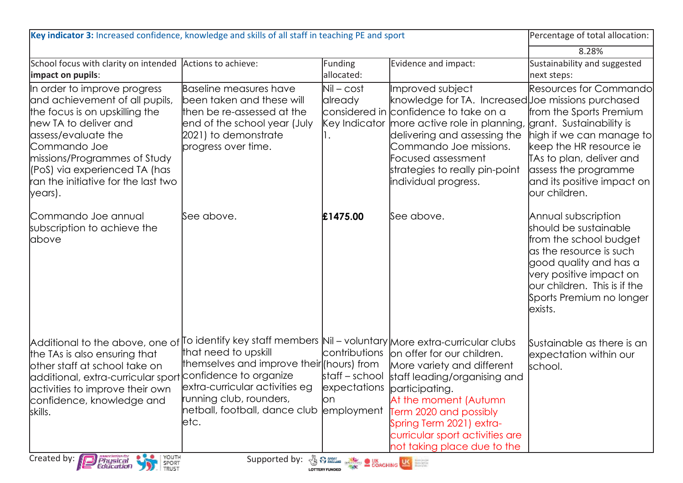| Key indicator 3: Increased confidence, knowledge and skills of all staff in teaching PE and sport                                                                                                                                                                                            | Percentage of total allocation:                                                                                                                                                                               |                                                        |                                                                                                                                                                                                                                                                                                                 |                                                                                                                                                                                                                                                         |
|----------------------------------------------------------------------------------------------------------------------------------------------------------------------------------------------------------------------------------------------------------------------------------------------|---------------------------------------------------------------------------------------------------------------------------------------------------------------------------------------------------------------|--------------------------------------------------------|-----------------------------------------------------------------------------------------------------------------------------------------------------------------------------------------------------------------------------------------------------------------------------------------------------------------|---------------------------------------------------------------------------------------------------------------------------------------------------------------------------------------------------------------------------------------------------------|
|                                                                                                                                                                                                                                                                                              |                                                                                                                                                                                                               |                                                        |                                                                                                                                                                                                                                                                                                                 | 8.28%                                                                                                                                                                                                                                                   |
| School focus with clarity on intended<br>impact on pupils:                                                                                                                                                                                                                                   | Actions to achieve:                                                                                                                                                                                           | Funding<br>allocated:                                  | Evidence and impact:                                                                                                                                                                                                                                                                                            | Sustainability and suggested<br>next steps:                                                                                                                                                                                                             |
| In order to improve progress<br>and achievement of all pupils,<br>the focus is on upskilling the<br>hew TA to deliver and<br>assess/evaluate the<br>Commando Joe<br>missions/Programmes of Study<br>(PoS) via experienced TA (has<br>ran the initiative for the last two<br>years).          | Baseline measures have<br>been taken and these will<br>then be re-assessed at the<br>end of the school year (July<br>2021) to demonstrate<br>progress over time.                                              | $\mathsf{Nil}$ – cost<br>already                       | Improved subject<br>knowledge for TA. Increased Joe missions purchased<br>considered in confidence to take on a<br>Key Indicator more active role in planning,<br>delivering and assessing the<br>Commando Joe missions.<br><b>Focused assessment</b><br>strategies to really pin-point<br>individual progress. | <b>Resources for Commando</b><br>from the Sports Premium<br>grant. Sustainability is<br>high if we can manage to $\mid$<br>keep the HR resource ie<br>TAs to plan, deliver and<br>assess the programme<br>and its positive impact on  <br>our children. |
| Commando Joe annual<br>subscription to achieve the<br>dbove                                                                                                                                                                                                                                  | See above.                                                                                                                                                                                                    | £1475.00                                               | See above.                                                                                                                                                                                                                                                                                                      | Annual subscription<br>should be sustainable<br>from the school budget<br>as the resource is such<br>good quality and has a<br>very positive impact on<br>our children. This is if the<br>Sports Premium no longer<br>exists.                           |
| Additional to the above, one of To identify key staff members Nil - voluntary More extra-curricular clubs<br>the TAs is also ensuring that<br>other staff at school take on<br>additional, extra-curricular sport<br>activities to improve their own<br>confidence, knowledge and<br>skills. | that need to upskill<br>themselves and improve their (hours) from<br>confidence to organize<br>extra-curricular activities eg<br>running club, rounders,<br>netball, football, dance club employment<br>letc. | contributions<br>staff – school<br>expectations<br>lon | on offer for our children.<br>More variety and different<br>staff leading/organising and<br>participating.<br>At the moment (Autumn<br>Term 2020 and possibly<br>Spring Term 2021) extra-<br>curricular sport activities are<br>not taking place due to the                                                     | Sustainable as there is an<br>expectation within our<br>school.                                                                                                                                                                                         |
| YOUTH<br>Created by:<br>Physical<br>Education<br>SPORT<br>TRUST                                                                                                                                                                                                                              |                                                                                                                                                                                                               |                                                        |                                                                                                                                                                                                                                                                                                                 |                                                                                                                                                                                                                                                         |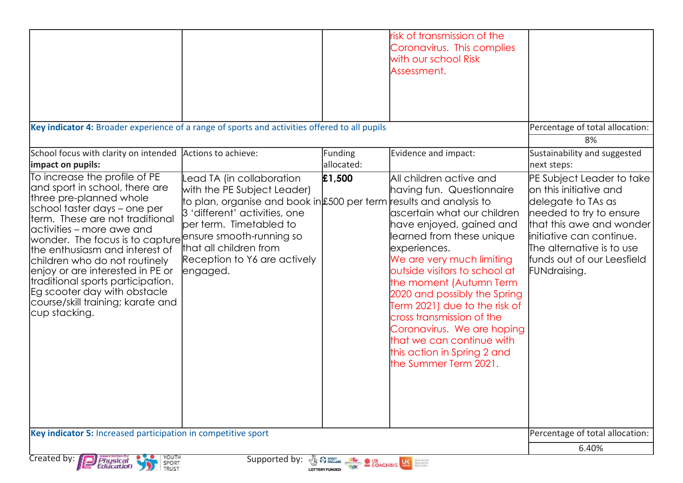|                                                                                                                                                                                                                                                                                                                                                                                                                                                                                           |                                                                                                                                                                                                                                                                    |                                      | risk of transmission of the<br>Coronavirus. This complies<br>with our school Risk<br>Assessment.                                                                                                                                                                                                                                                                                                                                                                       |                                                                                                                                                                                                                                              |
|-------------------------------------------------------------------------------------------------------------------------------------------------------------------------------------------------------------------------------------------------------------------------------------------------------------------------------------------------------------------------------------------------------------------------------------------------------------------------------------------|--------------------------------------------------------------------------------------------------------------------------------------------------------------------------------------------------------------------------------------------------------------------|--------------------------------------|------------------------------------------------------------------------------------------------------------------------------------------------------------------------------------------------------------------------------------------------------------------------------------------------------------------------------------------------------------------------------------------------------------------------------------------------------------------------|----------------------------------------------------------------------------------------------------------------------------------------------------------------------------------------------------------------------------------------------|
| Key indicator 4: Broader experience of a range of sports and activities offered to all pupils                                                                                                                                                                                                                                                                                                                                                                                             |                                                                                                                                                                                                                                                                    |                                      |                                                                                                                                                                                                                                                                                                                                                                                                                                                                        | Percentage of total allocation:                                                                                                                                                                                                              |
|                                                                                                                                                                                                                                                                                                                                                                                                                                                                                           |                                                                                                                                                                                                                                                                    |                                      |                                                                                                                                                                                                                                                                                                                                                                                                                                                                        | 8%                                                                                                                                                                                                                                           |
| School focus with clarity on intended Actions to achieve:<br>impact on pupils:                                                                                                                                                                                                                                                                                                                                                                                                            |                                                                                                                                                                                                                                                                    | Funding<br>allocated:                | Evidence and impact:                                                                                                                                                                                                                                                                                                                                                                                                                                                   | Sustainability and suggested<br>next steps:                                                                                                                                                                                                  |
| To increase the profile of PE<br>and sport in school, there are<br>three pre-planned whole<br>school taster days – one per<br>term. These are not traditional<br>lactivities – more awe and<br>wonder. The focus is to capture ensure smooth-running so<br>the enthusiasm and interest of<br>children who do not routinely<br>enjoy or are interested in PE or<br>traditional sports participation.<br>Eg scooter day with obstacle<br>course/skill training; karate and<br>cup stacking. | Lead TA (in collaboration<br>with the PE Subject Leader)<br>to plan, organise and book in £500 per term results and analysis to<br>3 'different' activities, one<br>per term. Timetabled to<br>that all children from<br>Reception to Y6 are actively<br>lengaged. | $\mathbf{\hat{E}}$ 1,500             | All children active and<br>having fun. Questionnaire<br>ascertain what our children<br>have enjoyed, gained and<br>learned from these unique<br>experiences.<br>We are very much limiting<br>outside visitors to school at<br>the moment (Autumn Term<br>2020 and possibly the Spring<br>Term 2021) due to the risk of<br>cross transmission of the<br>Coronavirus. We are hoping<br>that we can continue with<br>this action in Spring 2 and<br>the Summer Term 2021. | PE Subject Leader to take<br>$\,$ on this initiative and<br>delegate to TAs as<br>needed to try to ensure<br>that this awe and wonder<br>initiative can continue.<br>The alternative is to use<br>funds out of our Leesfield<br>FUNdraising. |
| Key indicator 5: Increased participation in competitive sport                                                                                                                                                                                                                                                                                                                                                                                                                             |                                                                                                                                                                                                                                                                    |                                      |                                                                                                                                                                                                                                                                                                                                                                                                                                                                        | Percentage of total allocation:                                                                                                                                                                                                              |
| Created by:<br>YOUTH                                                                                                                                                                                                                                                                                                                                                                                                                                                                      | Supported by:                                                                                                                                                                                                                                                      | <b>SACRES COACHING US AND STREET</b> |                                                                                                                                                                                                                                                                                                                                                                                                                                                                        | 6.40%                                                                                                                                                                                                                                        |